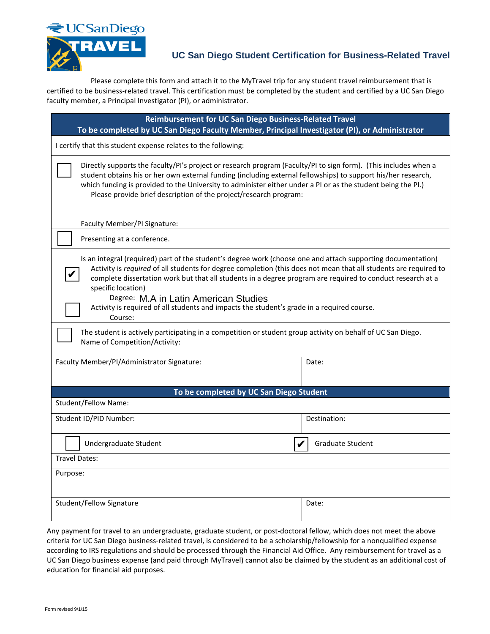

## **UC San Diego Student Certification for Business-Related Travel**

Please complete this form and attach it to the MyTravel trip for any student travel reimbursement that is certified to be business-related travel. This certification must be completed by the student and certified by a UC San Diego faculty member, a Principal Investigator (PI), or administrator.

| Reimbursement for UC San Diego Business-Related Travel<br>To be completed by UC San Diego Faculty Member, Principal Investigator (PI), or Administrator                                                                                                                                                                                                                                                                                                                                                                |                  |
|------------------------------------------------------------------------------------------------------------------------------------------------------------------------------------------------------------------------------------------------------------------------------------------------------------------------------------------------------------------------------------------------------------------------------------------------------------------------------------------------------------------------|------------------|
| I certify that this student expense relates to the following:                                                                                                                                                                                                                                                                                                                                                                                                                                                          |                  |
| Directly supports the faculty/PI's project or research program (Faculty/PI to sign form). (This includes when a<br>student obtains his or her own external funding (including external fellowships) to support his/her research,<br>which funding is provided to the University to administer either under a PI or as the student being the PI.)<br>Please provide brief description of the project/research program:                                                                                                  |                  |
| Faculty Member/PI Signature:                                                                                                                                                                                                                                                                                                                                                                                                                                                                                           |                  |
| Presenting at a conference.                                                                                                                                                                                                                                                                                                                                                                                                                                                                                            |                  |
| Is an integral (required) part of the student's degree work (choose one and attach supporting documentation)<br>Activity is required of all students for degree completion (this does not mean that all students are required to<br>complete dissertation work but that all students in a degree program are required to conduct research at a<br>specific location)<br>Degree: M.A in Latin American Studies<br>Activity is required of all students and impacts the student's grade in a required course.<br>Course: |                  |
| The student is actively participating in a competition or student group activity on behalf of UC San Diego.<br>Name of Competition/Activity:                                                                                                                                                                                                                                                                                                                                                                           |                  |
| Faculty Member/PI/Administrator Signature:                                                                                                                                                                                                                                                                                                                                                                                                                                                                             | Date:            |
| To be completed by UC San Diego Student                                                                                                                                                                                                                                                                                                                                                                                                                                                                                |                  |
| Student/Fellow Name:                                                                                                                                                                                                                                                                                                                                                                                                                                                                                                   |                  |
| Student ID/PID Number:                                                                                                                                                                                                                                                                                                                                                                                                                                                                                                 | Destination:     |
| Undergraduate Student                                                                                                                                                                                                                                                                                                                                                                                                                                                                                                  | Graduate Student |
| <b>Travel Dates:</b>                                                                                                                                                                                                                                                                                                                                                                                                                                                                                                   |                  |
| Purpose:                                                                                                                                                                                                                                                                                                                                                                                                                                                                                                               |                  |
| Student/Fellow Signature                                                                                                                                                                                                                                                                                                                                                                                                                                                                                               | Date:            |

Any payment for travel to an undergraduate, graduate student, or post-doctoral fellow, which does not meet the above criteria for UC San Diego business-related travel, is considered to be a scholarship/fellowship for a nonqualified expense according to IRS regulations and should be processed through the Financial Aid Office. Any reimbursement for travel as a UC San Diego business expense (and paid through MyTravel) cannot also be claimed by the student as an additional cost of education for financial aid purposes.